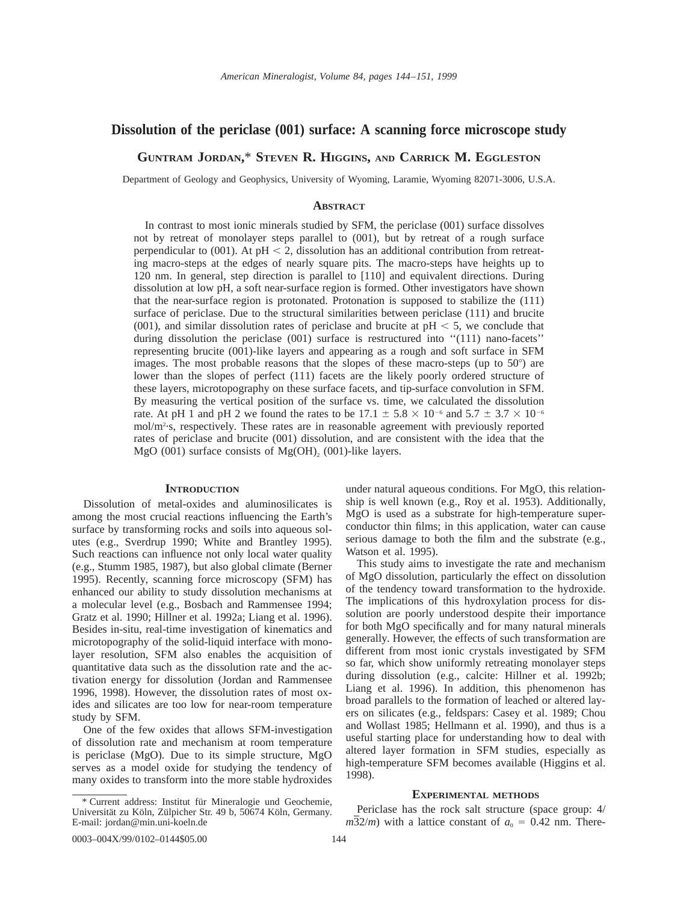# **Dissolution of the periclase (001) surface: A scanning force microscope study**

**GUNTRAM JORDAN,**\* **STEVEN R. HIGGINS, AND CARRICK M. EGGLESTON**

Department of Geology and Geophysics, University of Wyoming, Laramie, Wyoming 82071-3006, U.S.A.

## **ABSTRACT**

In contrast to most ionic minerals studied by SFM, the periclase (001) surface dissolves not by retreat of monolayer steps parallel to (001), but by retreat of a rough surface perpendicular to  $(001)$ . At pH < 2, dissolution has an additional contribution from retreating macro-steps at the edges of nearly square pits. The macro-steps have heights up to 120 nm. In general, step direction is parallel to [110] and equivalent directions. During dissolution at low pH, a soft near-surface region is formed. Other investigators have shown that the near-surface region is protonated. Protonation is supposed to stabilize the (111) surface of periclase. Due to the structural similarities between periclase (111) and brucite (001), and similar dissolution rates of periclase and brucite at  $pH < 5$ , we conclude that during dissolution the periclase (001) surface is restructured into "(111) nano-facets" representing brucite (001)-like layers and appearing as a rough and soft surface in SFM images. The most probable reasons that the slopes of these macro-steps (up to  $50^{\circ}$ ) are lower than the slopes of perfect (111) facets are the likely poorly ordered structure of these layers, microtopography on these surface facets, and tip-surface convolution in SFM. By measuring the vertical position of the surface vs. time, we calculated the dissolution rate. At pH 1 and pH 2 we found the rates to be  $17.1 \pm 5.8 \times 10^{-6}$  and  $5.7 \pm 3.7 \times 10^{-6}$ mol/m2 ·s, respectively. These rates are in reasonable agreement with previously reported rates of periclase and brucite (001) dissolution, and are consistent with the idea that the MgO (001) surface consists of  $Mg(OH)$ <sub>2</sub> (001)-like layers.

## **INTRODUCTION**

Dissolution of metal-oxides and aluminosilicates is among the most crucial reactions influencing the Earth's surface by transforming rocks and soils into aqueous solutes (e.g., Sverdrup 1990; White and Brantley 1995). Such reactions can influence not only local water quality (e.g., Stumm 1985, 1987), but also global climate (Berner 1995). Recently, scanning force microscopy (SFM) has enhanced our ability to study dissolution mechanisms at a molecular level (e.g., Bosbach and Rammensee 1994; Gratz et al. 1990; Hillner et al. 1992a; Liang et al. 1996). Besides in-situ, real-time investigation of kinematics and microtopography of the solid-liquid interface with monolayer resolution, SFM also enables the acquisition of quantitative data such as the dissolution rate and the activation energy for dissolution (Jordan and Rammensee 1996, 1998). However, the dissolution rates of most oxides and silicates are too low for near-room temperature study by SFM.

One of the few oxides that allows SFM-investigation of dissolution rate and mechanism at room temperature is periclase (MgO). Due to its simple structure, MgO serves as a model oxide for studying the tendency of many oxides to transform into the more stable hydroxides

under natural aqueous conditions. For MgO, this relationship is well known (e.g., Roy et al. 1953). Additionally, MgO is used as a substrate for high-temperature superconductor thin films; in this application, water can cause serious damage to both the film and the substrate (e.g., Watson et al. 1995).

This study aims to investigate the rate and mechanism of MgO dissolution, particularly the effect on dissolution of the tendency toward transformation to the hydroxide. The implications of this hydroxylation process for dissolution are poorly understood despite their importance for both MgO specifically and for many natural minerals generally. However, the effects of such transformation are different from most ionic crystals investigated by SFM so far, which show uniformly retreating monolayer steps during dissolution (e.g., calcite: Hillner et al. 1992b; Liang et al. 1996). In addition, this phenomenon has broad parallels to the formation of leached or altered layers on silicates (e.g., feldspars: Casey et al. 1989; Chou and Wollast 1985; Hellmann et al. 1990), and thus is a useful starting place for understanding how to deal with altered layer formation in SFM studies, especially as high-temperature SFM becomes available (Higgins et al. 1998).

## **EXPERIMENTAL METHODS**

Periclase has the rock salt structure (space group: 4/  $m\overline{3}2/m$ ) with a lattice constant of  $a_0 = 0.42$  nm. There-

<sup>\*</sup> Current address: Institut fu¨r Mineralogie und Geochemie, Universität zu Köln, Zülpicher Str. 49 b, 50674 Köln, Germany. E-mail: jordan@min.uni-koeln.de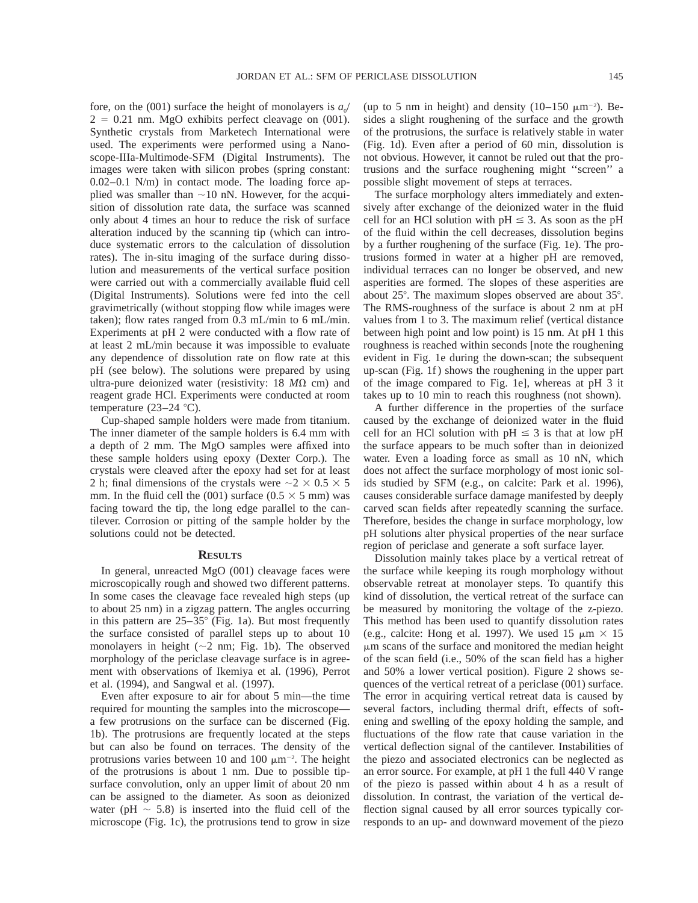fore, on the (001) surface the height of monolayers is  $a_0$  $2 = 0.21$  nm. MgO exhibits perfect cleavage on (001). Synthetic crystals from Marketech International were used. The experiments were performed using a Nanoscope-IIIa-Multimode-SFM (Digital Instruments). The images were taken with silicon probes (spring constant: 0.02–0.1 N/m) in contact mode. The loading force applied was smaller than  $\sim$ 10 nN. However, for the acquisition of dissolution rate data, the surface was scanned only about 4 times an hour to reduce the risk of surface alteration induced by the scanning tip (which can introduce systematic errors to the calculation of dissolution rates). The in-situ imaging of the surface during dissolution and measurements of the vertical surface position were carried out with a commercially available fluid cell (Digital Instruments). Solutions were fed into the cell gravimetrically (without stopping flow while images were taken); flow rates ranged from 0.3 mL/min to 6 mL/min. Experiments at pH 2 were conducted with a flow rate of at least 2 mL/min because it was impossible to evaluate any dependence of dissolution rate on flow rate at this pH (see below). The solutions were prepared by using ultra-pure deionized water (resistivity:  $18$   $M\Omega$  cm) and reagent grade HCl. Experiments were conducted at room temperature  $(23-24 \degree C)$ .

Cup-shaped sample holders were made from titanium. The inner diameter of the sample holders is 6.4 mm with a depth of 2 mm. The MgO samples were affixed into these sample holders using epoxy (Dexter Corp.). The crystals were cleaved after the epoxy had set for at least 2 h; final dimensions of the crystals were  $\sim$  2  $\times$  0.5  $\times$  5 mm. In the fluid cell the (001) surface (0.5  $\times$  5 mm) was facing toward the tip, the long edge parallel to the cantilever. Corrosion or pitting of the sample holder by the solutions could not be detected.

#### **RESULTS**

In general, unreacted MgO (001) cleavage faces were microscopically rough and showed two different patterns. In some cases the cleavage face revealed high steps (up to about 25 nm) in a zigzag pattern. The angles occurring in this pattern are  $25-35^{\circ}$  (Fig. 1a). But most frequently the surface consisted of parallel steps up to about 10 monolayers in height  $({\sim}2$  nm; Fig. 1b). The observed morphology of the periclase cleavage surface is in agreement with observations of Ikemiya et al. (1996), Perrot et al. (1994), and Sangwal et al. (1997).

Even after exposure to air for about 5 min—the time required for mounting the samples into the microscope a few protrusions on the surface can be discerned (Fig. 1b). The protrusions are frequently located at the steps but can also be found on terraces. The density of the protrusions varies between 10 and 100  $\mu$ m<sup>-2</sup>. The height of the protrusions is about 1 nm. Due to possible tipsurface convolution, only an upper limit of about 20 nm can be assigned to the diameter. As soon as deionized water (pH  $\sim$  5.8) is inserted into the fluid cell of the microscope (Fig. 1c), the protrusions tend to grow in size

(up to 5 nm in height) and density  $(10-150 \mu m^{-2})$ . Besides a slight roughening of the surface and the growth of the protrusions, the surface is relatively stable in water (Fig. 1d). Even after a period of 60 min, dissolution is not obvious. However, it cannot be ruled out that the protrusions and the surface roughening might ''screen'' a possible slight movement of steps at terraces.

The surface morphology alters immediately and extensively after exchange of the deionized water in the fluid cell for an HCl solution with  $pH \leq 3$ . As soon as the pH of the fluid within the cell decreases, dissolution begins by a further roughening of the surface (Fig. 1e). The protrusions formed in water at a higher pH are removed, individual terraces can no longer be observed, and new asperities are formed. The slopes of these asperities are about  $25^\circ$ . The maximum slopes observed are about  $35^\circ$ . The RMS-roughness of the surface is about 2 nm at pH values from 1 to 3. The maximum relief (vertical distance between high point and low point) is 15 nm. At pH 1 this roughness is reached within seconds [note the roughening evident in Fig. 1e during the down-scan; the subsequent up-scan (Fig. 1f ) shows the roughening in the upper part of the image compared to Fig. 1e], whereas at pH 3 it takes up to 10 min to reach this roughness (not shown).

A further difference in the properties of the surface caused by the exchange of deionized water in the fluid cell for an HCl solution with  $pH \leq 3$  is that at low pH the surface appears to be much softer than in deionized water. Even a loading force as small as 10 nN, which does not affect the surface morphology of most ionic solids studied by SFM (e.g., on calcite: Park et al. 1996), causes considerable surface damage manifested by deeply carved scan fields after repeatedly scanning the surface. Therefore, besides the change in surface morphology, low pH solutions alter physical properties of the near surface region of periclase and generate a soft surface layer.

Dissolution mainly takes place by a vertical retreat of the surface while keeping its rough morphology without observable retreat at monolayer steps. To quantify this kind of dissolution, the vertical retreat of the surface can be measured by monitoring the voltage of the z-piezo. This method has been used to quantify dissolution rates (e.g., calcite: Hong et al. 1997). We used 15  $\mu$ m × 15  $\mu$ m scans of the surface and monitored the median height of the scan field (i.e., 50% of the scan field has a higher and 50% a lower vertical position). Figure 2 shows sequences of the vertical retreat of a periclase (001) surface. The error in acquiring vertical retreat data is caused by several factors, including thermal drift, effects of softening and swelling of the epoxy holding the sample, and fluctuations of the flow rate that cause variation in the vertical deflection signal of the cantilever. Instabilities of the piezo and associated electronics can be neglected as an error source. For example, at pH 1 the full 440 V range of the piezo is passed within about 4 h as a result of dissolution. In contrast, the variation of the vertical deflection signal caused by all error sources typically corresponds to an up- and downward movement of the piezo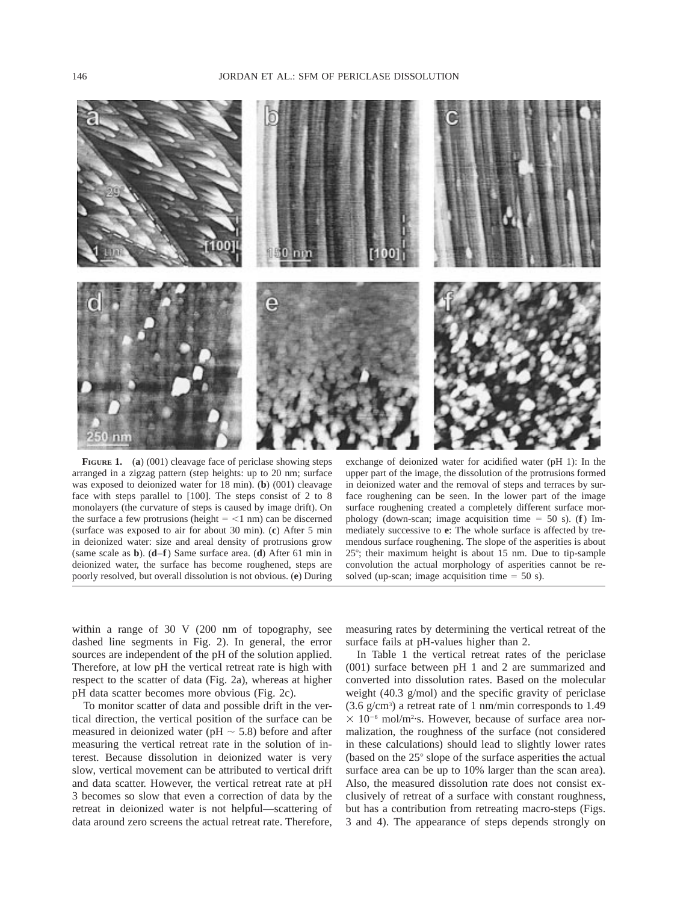

**FIGURE 1.** (**a**) (001) cleavage face of periclase showing steps arranged in a zigzag pattern (step heights: up to 20 nm; surface was exposed to deionized water for 18 min). (**b**) (001) cleavage face with steps parallel to [100]. The steps consist of 2 to 8 monolayers (the curvature of steps is caused by image drift). On the surface a few protrusions (height  $=$  <1 nm) can be discerned (surface was exposed to air for about 30 min). (**c**) After 5 min in deionized water: size and areal density of protrusions grow (same scale as **b**). (**d**–**f**) Same surface area. (**d**) After 61 min in deionized water, the surface has become roughened, steps are poorly resolved, but overall dissolution is not obvious. (**e**) During

exchange of deionized water for acidified water (pH 1): In the upper part of the image, the dissolution of the protrusions formed in deionized water and the removal of steps and terraces by surface roughening can be seen. In the lower part of the image surface roughening created a completely different surface morphology (down-scan; image acquisition time  $= 50$  s). (**f**) Immediately successive to **e**: The whole surface is affected by tremendous surface roughening. The slope of the asperities is about  $25^\circ$ ; their maximum height is about 15 nm. Due to tip-sample convolution the actual morphology of asperities cannot be resolved (up-scan; image acquisition time  $= 50$  s).

within a range of 30 V (200 nm of topography, see dashed line segments in Fig. 2). In general, the error sources are independent of the pH of the solution applied. Therefore, at low pH the vertical retreat rate is high with respect to the scatter of data (Fig. 2a), whereas at higher pH data scatter becomes more obvious (Fig. 2c).

To monitor scatter of data and possible drift in the vertical direction, the vertical position of the surface can be measured in deionized water (pH  $\sim$  5.8) before and after measuring the vertical retreat rate in the solution of interest. Because dissolution in deionized water is very slow, vertical movement can be attributed to vertical drift and data scatter. However, the vertical retreat rate at pH 3 becomes so slow that even a correction of data by the retreat in deionized water is not helpful—scattering of data around zero screens the actual retreat rate. Therefore,

measuring rates by determining the vertical retreat of the surface fails at pH-values higher than 2.

In Table 1 the vertical retreat rates of the periclase (001) surface between pH 1 and 2 are summarized and converted into dissolution rates. Based on the molecular weight (40.3 g/mol) and the specific gravity of periclase (3.6 g/cm3 ) a retreat rate of 1 nm/min corresponds to 1.49  $\times$  10<sup>-6</sup> mol/m<sup>2</sup>·s. However, because of surface area normalization, the roughness of the surface (not considered in these calculations) should lead to slightly lower rates (based on the  $25^{\circ}$  slope of the surface asperities the actual surface area can be up to 10% larger than the scan area). Also, the measured dissolution rate does not consist exclusively of retreat of a surface with constant roughness, but has a contribution from retreating macro-steps (Figs. 3 and 4). The appearance of steps depends strongly on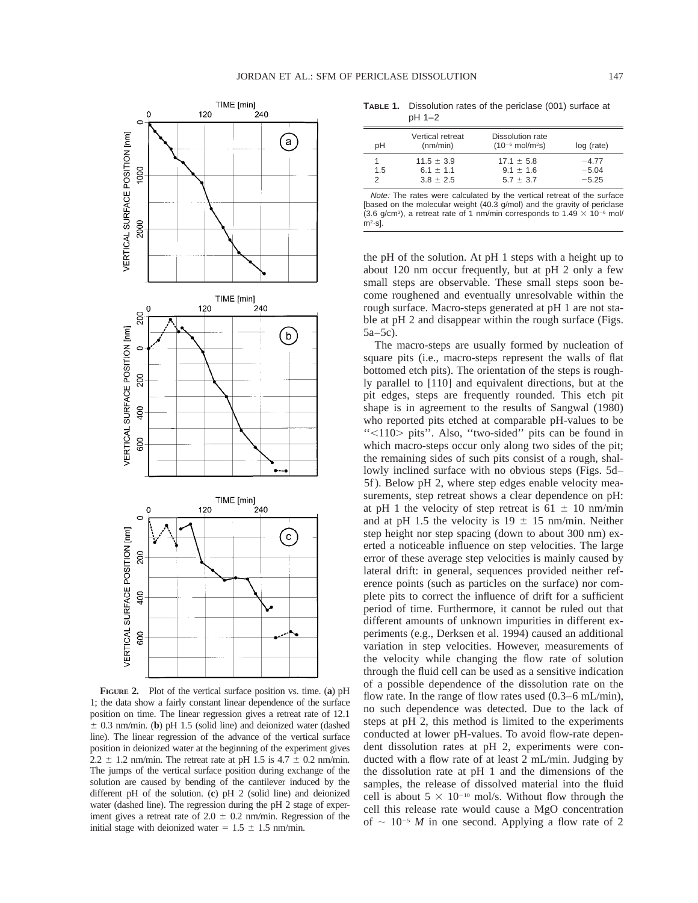$\equiv$ 



**FIGURE 2.** Plot of the vertical surface position vs. time. (**a**) pH 1; the data show a fairly constant linear dependence of the surface position on time. The linear regression gives a retreat rate of 12.1  $\pm$  0.3 nm/min. (**b**) pH 1.5 (solid line) and deionized water (dashed line). The linear regression of the advance of the vertical surface position in deionized water at the beginning of the experiment gives 2.2  $\pm$  1.2 nm/min. The retreat rate at pH 1.5 is 4.7  $\pm$  0.2 nm/min. The jumps of the vertical surface position during exchange of the solution are caused by bending of the cantilever induced by the different pH of the solution. (**c**) pH 2 (solid line) and deionized water (dashed line). The regression during the pH 2 stage of experiment gives a retreat rate of  $2.0 \pm 0.2$  nm/min. Regression of the initial stage with deionized water =  $1.5 \pm 1.5$  nm/min.

**TABLE 1.** Dissolution rates of the periclase (001) surface at pH 1–2

| pН       | Vertical retreat<br>(nm/min)                     | Dissolution rate<br>$(10^{-6}$ mol/m <sup>2</sup> s) | log (rate)                    |
|----------|--------------------------------------------------|------------------------------------------------------|-------------------------------|
| 1.5<br>っ | $11.5 \pm 3.9$<br>6.1 $\pm$ 1.1<br>$3.8 \pm 2.5$ | $17.1 \pm 5.8$<br>$9.1 \pm 1.6$<br>$5.7 \pm 3.7$     | $-4.77$<br>$-5.04$<br>$-5.25$ |

Note: The rates were calculated by the vertical retreat of the surface [based on the molecular weight (40.3 g/mol) and the gravity of periclase (3.6 g/cm<sup>3</sup>), a retreat rate of 1 nm/min corresponds to  $1.49 \times 10^{-6}$  mol/  $\frac{m^2}{s}$ .

the pH of the solution. At pH 1 steps with a height up to about 120 nm occur frequently, but at pH 2 only a few small steps are observable. These small steps soon become roughened and eventually unresolvable within the rough surface. Macro-steps generated at pH 1 are not stable at pH 2 and disappear within the rough surface (Figs. 5a–5c).

The macro-steps are usually formed by nucleation of square pits (i.e., macro-steps represent the walls of flat bottomed etch pits). The orientation of the steps is roughly parallel to [110] and equivalent directions, but at the pit edges, steps are frequently rounded. This etch pit shape is in agreement to the results of Sangwal (1980) who reported pits etched at comparable pH-values to be "<110> pits". Also, "two-sided" pits can be found in which macro-steps occur only along two sides of the pit; the remaining sides of such pits consist of a rough, shallowly inclined surface with no obvious steps (Figs. 5d– 5f ). Below pH 2, where step edges enable velocity measurements, step retreat shows a clear dependence on pH: at pH 1 the velocity of step retreat is  $61 \pm 10$  nm/min and at pH 1.5 the velocity is  $19 \pm 15$  nm/min. Neither step height nor step spacing (down to about 300 nm) exerted a noticeable influence on step velocities. The large error of these average step velocities is mainly caused by lateral drift: in general, sequences provided neither reference points (such as particles on the surface) nor complete pits to correct the influence of drift for a sufficient period of time. Furthermore, it cannot be ruled out that different amounts of unknown impurities in different experiments (e.g., Derksen et al. 1994) caused an additional variation in step velocities. However, measurements of the velocity while changing the flow rate of solution through the fluid cell can be used as a sensitive indication of a possible dependence of the dissolution rate on the flow rate. In the range of flow rates used (0.3–6 mL/min), no such dependence was detected. Due to the lack of steps at pH 2, this method is limited to the experiments conducted at lower pH-values. To avoid flow-rate dependent dissolution rates at pH 2, experiments were conducted with a flow rate of at least 2 mL/min. Judging by the dissolution rate at pH 1 and the dimensions of the samples, the release of dissolved material into the fluid cell is about  $5 \times 10^{-10}$  mol/s. Without flow through the cell this release rate would cause a MgO concentration of  $\sim 10^{-5}$  *M* in one second. Applying a flow rate of 2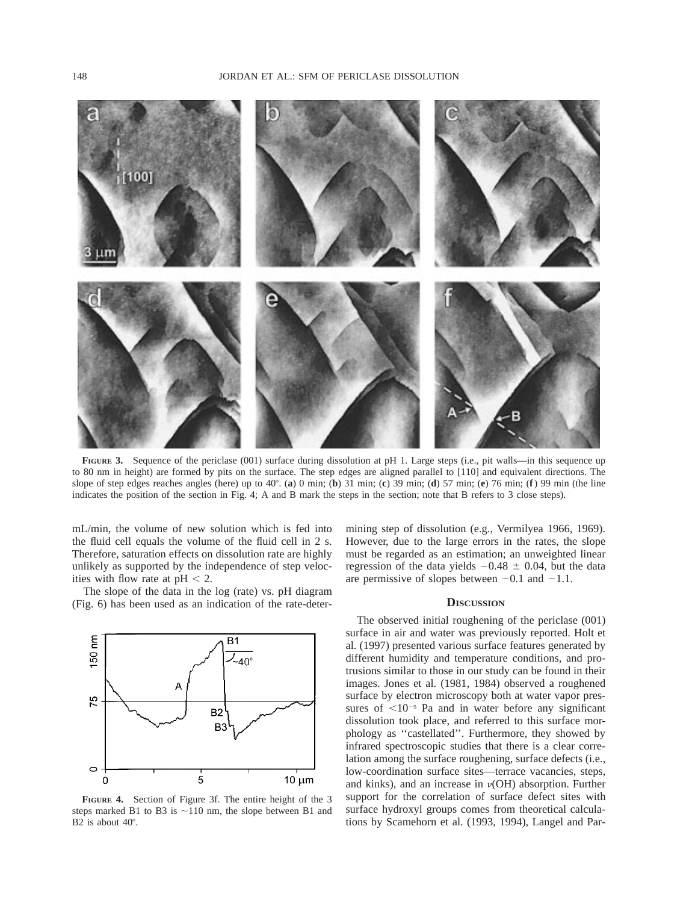

FIGURE 3. Sequence of the periclase (001) surface during dissolution at pH 1. Large steps (i.e., pit walls—in this sequence up to 80 nm in height) are formed by pits on the surface. The step edges are aligned parallel to [110] and equivalent directions. The slope of step edges reaches angles (here) up to  $40^\circ$ . (**a**) 0 min; (**b**) 31 min; (**c**) 39 min; (**d**) 57 min; (**e**) 76 min; (**f**) 99 min (the line indicates the position of the section in Fig. 4; A and B mark the steps in the section; note that B refers to 3 close steps).

mL/min, the volume of new solution which is fed into the fluid cell equals the volume of the fluid cell in 2 s. Therefore, saturation effects on dissolution rate are highly unlikely as supported by the independence of step velocities with flow rate at  $pH < 2$ .

The slope of the data in the log (rate) vs. pH diagram (Fig. 6) has been used as an indication of the rate-deter-



**FIGURE 4.** Section of Figure 3f. The entire height of the 3 steps marked B1 to B3 is  $\sim$ 110 nm, the slope between B1 and B2 is about  $40^\circ$ .

mining step of dissolution (e.g., Vermilyea 1966, 1969). However, due to the large errors in the rates, the slope must be regarded as an estimation; an unweighted linear regression of the data yields  $-0.48 \pm 0.04$ , but the data are permissive of slopes between  $-0.1$  and  $-1.1$ .

## **DISCUSSION**

The observed initial roughening of the periclase (001) surface in air and water was previously reported. Holt et al. (1997) presented various surface features generated by different humidity and temperature conditions, and protrusions similar to those in our study can be found in their images. Jones et al. (1981, 1984) observed a roughened surface by electron microscopy both at water vapor pressures of  $< 10^{-5}$  Pa and in water before any significant dissolution took place, and referred to this surface morphology as ''castellated''. Furthermore, they showed by infrared spectroscopic studies that there is a clear correlation among the surface roughening, surface defects (i.e., low-coordination surface sites—terrace vacancies, steps, and kinks), and an increase in  $\nu(OH)$  absorption. Further support for the correlation of surface defect sites with surface hydroxyl groups comes from theoretical calculations by Scamehorn et al. (1993, 1994), Langel and Par-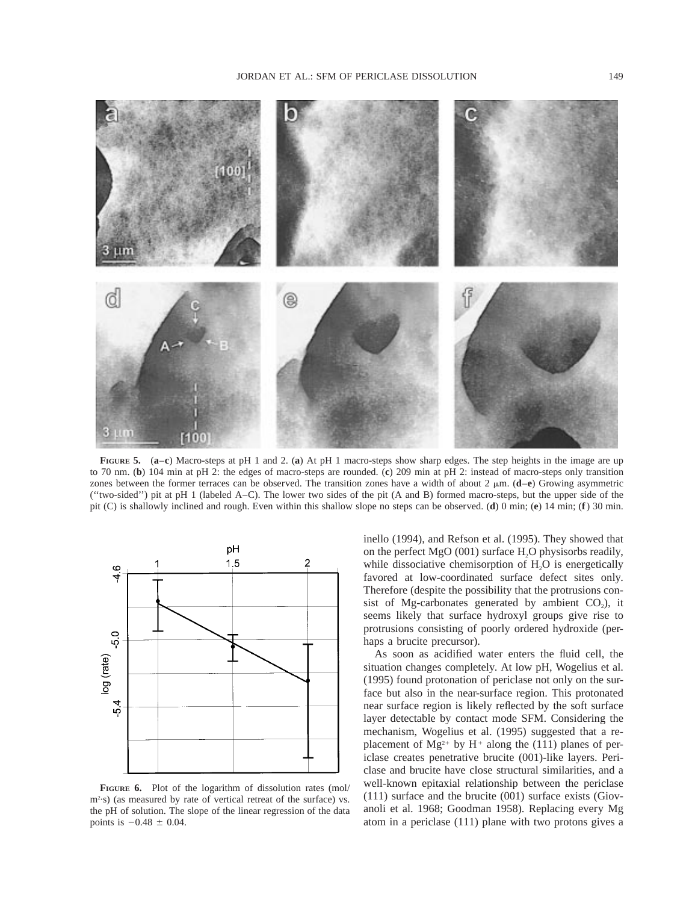

**FIGURE 5.** (**a**–**c**) Macro-steps at pH 1 and 2. (**a**) At pH 1 macro-steps show sharp edges. The step heights in the image are up to 70 nm. (**b**) 104 min at pH 2: the edges of macro-steps are rounded. (**c**) 209 min at pH 2: instead of macro-steps only transition zones between the former terraces can be observed. The transition zones have a width of about  $2 \mu m$ . (**d**–**e**) Growing asymmetric (''two-sided'') pit at pH 1 (labeled A–C). The lower two sides of the pit (A and B) formed macro-steps, but the upper side of the pit (C) is shallowly inclined and rough. Even within this shallow slope no steps can be observed. (**d**) 0 min; (**e**) 14 min; (**f**) 30 min.



**FIGURE 6.** Plot of the logarithm of dissolution rates (mol/ m2 ·s) (as measured by rate of vertical retreat of the surface) vs. the pH of solution. The slope of the linear regression of the data points is  $-0.48 \pm 0.04$ .

inello (1994), and Refson et al. (1995). They showed that on the perfect MgO (001) surface  $H_2O$  physisorbs readily, while dissociative chemisorption of  $H_2O$  is energetically favored at low-coordinated surface defect sites only. Therefore (despite the possibility that the protrusions consist of Mg-carbonates generated by ambient  $CO<sub>2</sub>$ ), it seems likely that surface hydroxyl groups give rise to protrusions consisting of poorly ordered hydroxide (perhaps a brucite precursor).

As soon as acidified water enters the fluid cell, the situation changes completely. At low pH, Wogelius et al. (1995) found protonation of periclase not only on the surface but also in the near-surface region. This protonated near surface region is likely reflected by the soft surface layer detectable by contact mode SFM. Considering the mechanism, Wogelius et al. (1995) suggested that a replacement of  $Mg^{2+}$  by H<sup>+</sup> along the (111) planes of periclase creates penetrative brucite (001)-like layers. Periclase and brucite have close structural similarities, and a well-known epitaxial relationship between the periclase (111) surface and the brucite (001) surface exists (Giovanoli et al. 1968; Goodman 1958). Replacing every Mg atom in a periclase (111) plane with two protons gives a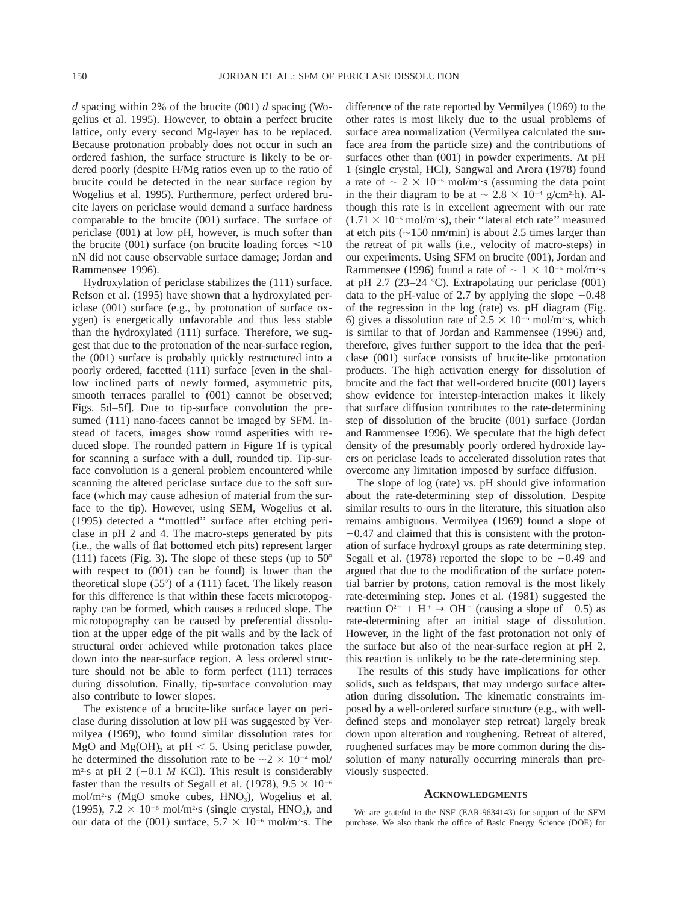*d* spacing within 2% of the brucite (001) *d* spacing (Wogelius et al. 1995). However, to obtain a perfect brucite lattice, only every second Mg-layer has to be replaced. Because protonation probably does not occur in such an ordered fashion, the surface structure is likely to be ordered poorly (despite H/Mg ratios even up to the ratio of brucite could be detected in the near surface region by Wogelius et al. 1995). Furthermore, perfect ordered brucite layers on periclase would demand a surface hardness comparable to the brucite (001) surface. The surface of periclase (001) at low pH, however, is much softer than the brucite (001) surface (on brucite loading forces  $\leq 10$ nN did not cause observable surface damage; Jordan and Rammensee 1996).

Hydroxylation of periclase stabilizes the (111) surface. Refson et al. (1995) have shown that a hydroxylated periclase (001) surface (e.g., by protonation of surface oxygen) is energetically unfavorable and thus less stable than the hydroxylated (111) surface. Therefore, we suggest that due to the protonation of the near-surface region, the (001) surface is probably quickly restructured into a poorly ordered, facetted (111) surface [even in the shallow inclined parts of newly formed, asymmetric pits, smooth terraces parallel to (001) cannot be observed; Figs. 5d–5f]. Due to tip-surface convolution the presumed  $(111)$  nano-facets cannot be imaged by SFM. Instead of facets, images show round asperities with reduced slope. The rounded pattern in Figure 1f is typical for scanning a surface with a dull, rounded tip. Tip-surface convolution is a general problem encountered while scanning the altered periclase surface due to the soft surface (which may cause adhesion of material from the surface to the tip). However, using SEM, Wogelius et al. (1995) detected a ''mottled'' surface after etching periclase in pH 2 and 4. The macro-steps generated by pits (i.e., the walls of flat bottomed etch pits) represent larger (111) facets (Fig. 3). The slope of these steps (up to  $50^{\circ}$ with respect to (001) can be found) is lower than the theoretical slope  $(55^{\circ})$  of a  $(111)$  facet. The likely reason for this difference is that within these facets microtopography can be formed, which causes a reduced slope. The microtopography can be caused by preferential dissolution at the upper edge of the pit walls and by the lack of structural order achieved while protonation takes place down into the near-surface region. A less ordered structure should not be able to form perfect (111) terraces during dissolution. Finally, tip-surface convolution may also contribute to lower slopes.

The existence of a brucite-like surface layer on periclase during dissolution at low pH was suggested by Vermilyea (1969), who found similar dissolution rates for MgO and Mg(OH)<sub>2</sub> at pH  $\lt$  5. Using periclase powder, he determined the dissolution rate to be  $\sim$  2  $\times$  10<sup>-4</sup> mol/  $m<sup>2</sup>$  s at pH 2 (+0.1 *M* KCl). This result is considerably faster than the results of Segall et al. (1978),  $9.5 \times 10^{-6}$ mol/m<sup>2</sup>·s (MgO smoke cubes, HNO<sub>3</sub>), Wogelius et al. (1995),  $7.2 \times 10^{-6}$  mol/m<sup>2</sup>·s (single crystal, HNO<sub>3</sub>), and our data of the (001) surface,  $5.7 \times 10^{-6}$  mol/m<sup>2</sup>·s. The

difference of the rate reported by Vermilyea (1969) to the other rates is most likely due to the usual problems of surface area normalization (Vermilyea calculated the surface area from the particle size) and the contributions of surfaces other than (001) in powder experiments. At pH 1 (single crystal, HCl), Sangwal and Arora (1978) found a rate of  $\sim 2 \times 10^{-5}$  mol/m<sup>2</sup>·s (assuming the data point in the their diagram to be at  $\sim 2.8 \times 10^{-4}$  g/cm<sup>2</sup>·h). Although this rate is in excellent agreement with our rate  $(1.71 \times 10^{-5} \text{ mol/m}^2 \cdot \text{s})$ , their "lateral etch rate" measured at etch pits  $(\sim 150 \text{ nm/min})$  is about 2.5 times larger than the retreat of pit walls (i.e., velocity of macro-steps) in our experiments. Using SFM on brucite (001), Jordan and Rammensee (1996) found a rate of  $\sim 1 \times 10^{-6}$  mol/m<sup>2</sup>·s at pH 2.7 (23–24 °C). Extrapolating our periclase  $(001)$ data to the pH-value of 2.7 by applying the slope  $-0.48$ of the regression in the log (rate) vs. pH diagram (Fig. 6) gives a dissolution rate of  $2.5 \times 10^{-6}$  mol/m<sup>2</sup>·s, which is similar to that of Jordan and Rammensee (1996) and, therefore, gives further support to the idea that the periclase (001) surface consists of brucite-like protonation products. The high activation energy for dissolution of brucite and the fact that well-ordered brucite (001) layers show evidence for interstep-interaction makes it likely that surface diffusion contributes to the rate-determining step of dissolution of the brucite (001) surface (Jordan and Rammensee 1996). We speculate that the high defect density of the presumably poorly ordered hydroxide layers on periclase leads to accelerated dissolution rates that overcome any limitation imposed by surface diffusion.

The slope of log (rate) vs. pH should give information about the rate-determining step of dissolution. Despite similar results to ours in the literature, this situation also remains ambiguous. Vermilyea (1969) found a slope of  $-0.47$  and claimed that this is consistent with the protonation of surface hydroxyl groups as rate determining step. Segall et al. (1978) reported the slope to be  $-0.49$  and argued that due to the modification of the surface potential barrier by protons, cation removal is the most likely rate-determining step. Jones et al. (1981) suggested the reaction  $O^{2-}$  +  $\overline{H}^+$   $\rightarrow$  OH<sup>-</sup> (causing a slope of -0.5) as rate-determining after an initial stage of dissolution. However, in the light of the fast protonation not only of the surface but also of the near-surface region at pH 2, this reaction is unlikely to be the rate-determining step.

The results of this study have implications for other solids, such as feldspars, that may undergo surface alteration during dissolution. The kinematic constraints imposed by a well-ordered surface structure (e.g., with welldefined steps and monolayer step retreat) largely break down upon alteration and roughening. Retreat of altered, roughened surfaces may be more common during the dissolution of many naturally occurring minerals than previously suspected.

#### **ACKNOWLEDGMENTS**

We are grateful to the NSF (EAR-9634143) for support of the SFM purchase. We also thank the office of Basic Energy Science (DOE) for